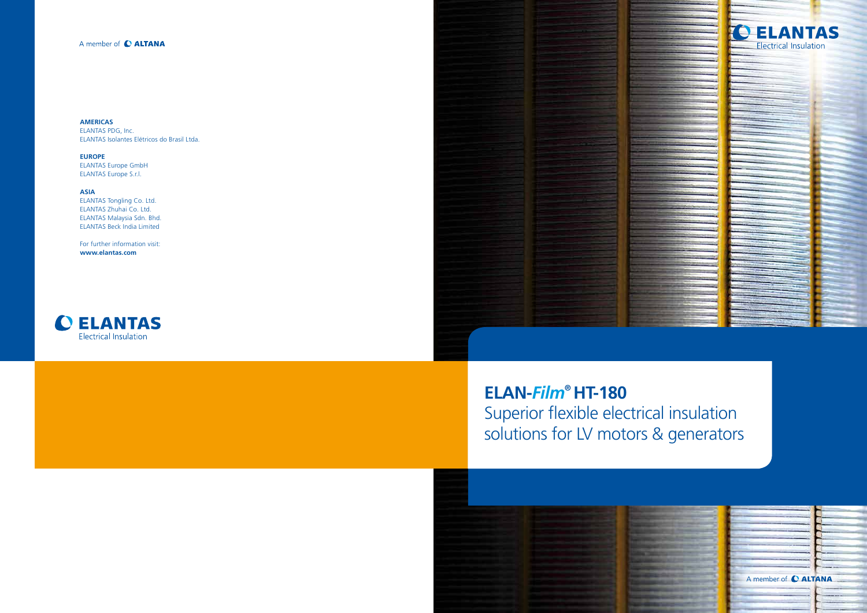

**ELAN-***Film***® HT-180** Superior flexible electrical insulation solutions for LV motors & generators

# A member of C ALTANA

**AMERICAS** ELANTAS PDG, Inc. ELANTAS Isolantes Elétricos do Brasil Ltda.

**EUROPE** ELANTAS Europe GmbH ELANTAS Europe S.r.l.

**ASIA** ELANTAS Tongling Co. Ltd. ELANTAS Zhuhai Co. Ltd. ELANTAS Malaysia Sdn. Bhd. ELANTAS Beck India Limited

For further information visit: **www.elantas.com**